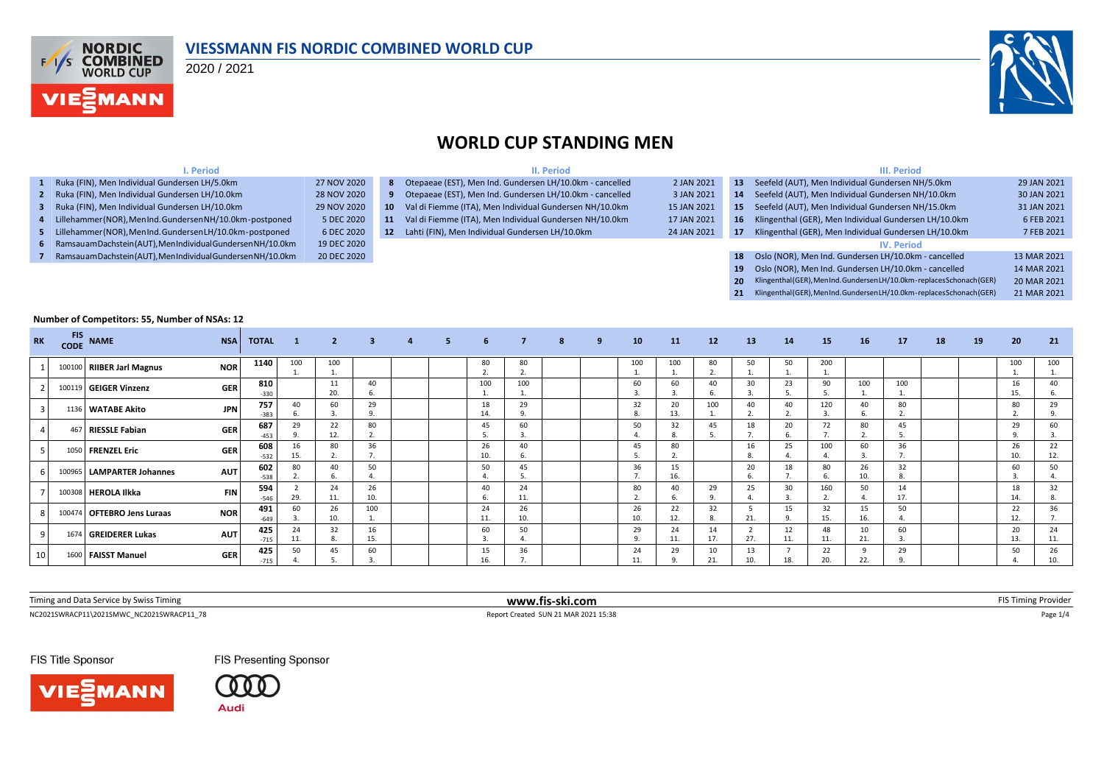

#### **VIESSMANN FIS NORDIC COMBINED WORLD CUP**

2020 / 2021



#### **WORLD CUP STANDING MEN**

| I. Period                                                     |             |                 | II. Period                                                 |             |                 | III. Period                                                           |             |  |  |  |  |  |  |
|---------------------------------------------------------------|-------------|-----------------|------------------------------------------------------------|-------------|-----------------|-----------------------------------------------------------------------|-------------|--|--|--|--|--|--|
| 1 Ruka (FIN), Men Individual Gundersen LH/5.0km               | 27 NOV 2020 |                 | 8 Otepaeae (EST), Men Ind. Gundersen LH/10.0km - cancelled | 2 JAN 2021  | 13 <sup>7</sup> | Seefeld (AUT), Men Individual Gundersen NH/5.0km                      | 29 JAN 2021 |  |  |  |  |  |  |
| 2 Ruka (FIN), Men Individual Gundersen LH/10.0km              | 28 NOV 2020 |                 | 9 Otepaeae (EST), Men Ind. Gundersen LH/10.0km - cancelled | 3 JAN 2021  | 14              | Seefeld (AUT), Men Individual Gundersen NH/10.0km                     | 30 JAN 2021 |  |  |  |  |  |  |
| 3 Ruka (FIN), Men Individual Gundersen LH/10.0km              | 29 NOV 2020 | 10              | Val di Fiemme (ITA), Men Individual Gundersen NH/10.0km    | 15 JAN 2021 | 15              | Seefeld (AUT), Men Individual Gundersen NH/15.0km                     | 31 JAN 2021 |  |  |  |  |  |  |
| 4 Lillehammer (NOR), MenInd. Gundersen NH/10.0km-postponed    | 5 DEC 2020  | 11.             | Val di Fiemme (ITA), Men Individual Gundersen NH/10.0km    | 17 JAN 2021 |                 | 16 Klingenthal (GER), Men Individual Gundersen LH/10.0km              | 6 FEB 2021  |  |  |  |  |  |  |
| 5 Lillehammer(NOR), MenInd. GundersenLH/10.0km-postponed      | 6 DEC 2020  | 12 <sup>7</sup> | Lahti (FIN), Men Individual Gundersen LH/10.0km            | 24 JAN 2021 | 17              | Klingenthal (GER), Men Individual Gundersen LH/10.0km                 | 7 FEB 2021  |  |  |  |  |  |  |
| 6 Ramsauam Dachstein (AUT), MenIndividual Gundersen NH/10.0km | 19 DEC 2020 |                 |                                                            |             |                 | <b>IV. Period</b>                                                     |             |  |  |  |  |  |  |
| 7 Ramsauam Dachstein (AUT), MenIndividual Gundersen NH/10.0km | 20 DEC 2020 |                 |                                                            |             | 18              | Oslo (NOR), Men Ind. Gundersen LH/10.0km - cancelled                  | 13 MAR 2021 |  |  |  |  |  |  |
|                                                               |             |                 |                                                            |             | 19              | Oslo (NOR), Men Ind. Gundersen LH/10.0km - cancelled                  | 14 MAR 2021 |  |  |  |  |  |  |
|                                                               |             |                 |                                                            |             | <b>20</b>       | Klingenthal (GER), MenInd. GundersenLH/10.0km-replaces Schonach (GER) | 20 MAR 2021 |  |  |  |  |  |  |
|                                                               |             |                 |                                                            |             |                 | Klingenthal (GER), MenInd. GundersenLH/10.0km-replaces Schonach (GER) | 21 MAR 2021 |  |  |  |  |  |  |

#### **Number of Competitors: 55, Number of NSAs: 12**

| <b>RK</b> | <b>FIS</b><br><b>CODE</b> | <b>NAME</b>                 | <b>NSA</b> | <b>TOTAL</b>  | 1         | $\overline{2}$ | $\overline{\mathbf{3}}$        | $\overline{a}$ | 5. | 6                             | $\overline{7}$           | 8 | 9 | 10              | 11        | 12        | <b>13</b> | 14        | 15        | <b>16</b> | 17        | 18 | 19 | 20        | 21        |
|-----------|---------------------------|-----------------------------|------------|---------------|-----------|----------------|--------------------------------|----------------|----|-------------------------------|--------------------------|---|---|-----------------|-----------|-----------|-----------|-----------|-----------|-----------|-----------|----|----|-----------|-----------|
|           | 100100                    | <b>RIIBER Jarl Magnus</b>   | <b>NOR</b> | 1140          | 100       | 100            |                                |                |    | 80<br>$\mathbf{\overline{a}}$ | 80<br>$\mathbf{a}$<br>z. |   |   | 100<br><b>.</b> | 100       | 80        | 50        | 50        | 200       |           |           |    |    | 100       | 100       |
|           |                           | 100119 GEIGER Vinzenz       | <b>GER</b> | 810<br>$-330$ |           | 20.            | 40<br>6.                       |                |    | 100                           | 100                      |   |   | 60              | 60        | 40        | 30        | 23        | 90        | 100       | 100       |    |    | 16<br>15. | 40        |
|           |                           | 1136 WATABE Akito           | <b>JPN</b> | 757<br>$-383$ | 40        | 60             | 29<br>9.                       |                |    | 18<br>14                      | 29<br>9.                 |   |   | 32<br>8.        | 20<br>13. | 100       | 40        | 40        | 120       | 40        | 80<br>z.  |    |    | 80        | 29        |
|           |                           | 467 RIESSLE Fabian          | <b>GER</b> | 687<br>$-453$ | 29        | 22<br>12.      | 80<br>z.                       |                |    | 45                            | 60<br>3.                 |   |   | 50              | 32        | 45        | 18        | 20<br>6.  | 72        | 80        | 45        |    |    | 29        | 60        |
|           |                           | 1050 FRENZEL Eric           | <b>GER</b> | 608<br>$-532$ | 16<br>15. | 80             | 36<br>$\overline{\phantom{a}}$ |                |    | 26<br>10.                     | 40<br>6.                 |   |   | 45              | 80<br>z.  |           | 16        | 25<br>4.  | 100       | 60        | 36        |    |    | 26<br>10. | 22<br>12. |
|           |                           | 100965   LAMPARTER Johannes | <b>AUT</b> | 602<br>$-538$ | 80        | 40             | 50                             |                |    | 50                            | 45<br>5.                 |   |   | 36              | 15<br>16. |           | 20        | 18        | 80        | 26<br>10. | 32<br>8.  |    |    | 60        | 50        |
|           |                           | 100308 HEROLA Ilkka         | <b>FIN</b> | 594<br>-546   | 29.       | 24<br>11.      | 26<br>10.                      |                |    | 40<br>6.                      | 24<br>11.                |   |   | 80              | 40        | 29        | 25        | 30<br>3   | 160       | 50        | 14<br>17. |    |    | 18<br>14  | 32<br>8.  |
|           |                           | 100474 OFTEBRO Jens Luraas  | <b>NOR</b> | 491<br>$-649$ | 60        | 26<br>10.      | 100<br>ı.                      |                |    | 24<br>11.                     | 26<br>10.                |   |   | 26<br>10.       | 22<br>12. | 32        | 21.       | 15<br>9.  | 32<br>15. | 15<br>16. | 50        |    |    | 22<br>12. | 36        |
|           |                           | 1674 GREIDERER Lukas        | <b>AUT</b> | 425<br>$-715$ | 24<br>11. | 32             | 16<br>15.                      |                |    | 60                            | 50                       |   |   | 29<br>9.        | 24<br>11. | 14<br>17. | 27.       | 12<br>11. | 48<br>11. | 10<br>21. | 60        |    |    | 20<br>13. | 24<br>11. |
| 10        |                           | 1600 FAISST Manuel          | <b>GER</b> | 425<br>$-715$ | 50        | 45             | 60                             |                |    | 15                            | 36                       |   |   | 24<br>11.       | 29        | 10        | 13        | 18.       | 22<br>20. | 9<br>22.  | 29        |    |    | 50        | 26        |

 $\textsf{NC20215WRACP11}\backslash \textsf{20215MWC\_NC20215WRACP11\_78} \textcolor{red}{p_\textsf{BEC}} \textcolor{red}{1/4} \textcolor{red}{P_\textsf{BEC}} \textcolor{red}{1/2} \textcolor{red}{P_\textsf{BEC}} \textcolor{red}{P_\textsf{BEC}} \textcolor{red}{1/4} \textcolor{red}{P_\textsf{BEC}} \textcolor{red}{P_\textsf{BEC}} \textcolor{red}{P_\textsf{BEC}} \textcolor{red}{1/4} \textcolor{red}{P_\textsf{BEC}} \textcolor{red}{P_\textsf{BEC}} \textcolor{red}{P$ Timing and Data Service by Swiss Timing **www.fis-ski.com** FIS Timing Provider

FIS Title Sponsor



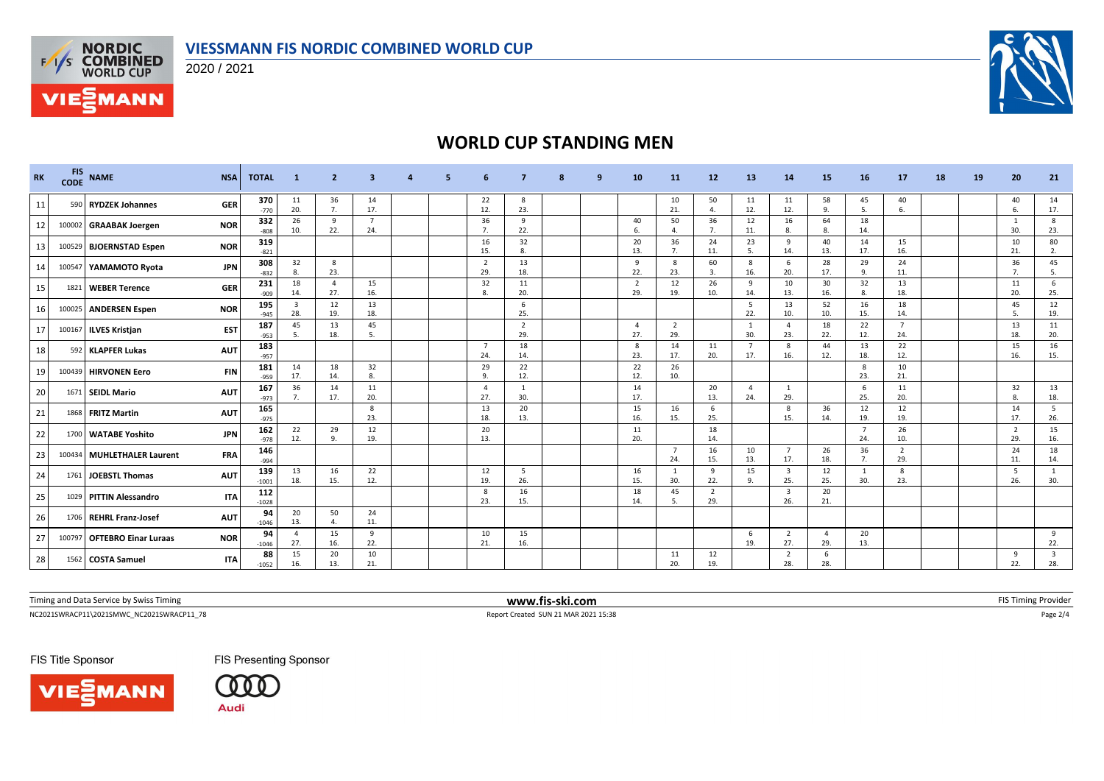





# **WORLD CUP STANDING MEN**

| <b>RK</b> | <b>FIS</b><br><b>CODE</b> | <b>NAME</b>                  | <b>NSA</b> | <b>TOTAL</b>   | -1                    | $\overline{2}$               | 3                     |  |                       |                       |  | 10                    | <b>11</b>             | 12                    | 13                    | 14                             | 15                  | 16                    | 17                    | 18 | 19 | 20                    | 21        |
|-----------|---------------------------|------------------------------|------------|----------------|-----------------------|------------------------------|-----------------------|--|-----------------------|-----------------------|--|-----------------------|-----------------------|-----------------------|-----------------------|--------------------------------|---------------------|-----------------------|-----------------------|----|----|-----------------------|-----------|
| 11        |                           | 590 RYDZEK Johannes          | <b>GER</b> | 370<br>$-770$  | 11<br>20.             | 36<br>7.                     | 14<br>17.             |  | 22<br>12.             | 8<br>23.              |  |                       | 10<br>21.             | 50<br>$\mathbf{4}$    | 11<br>12.             | 11<br>12.                      | 58<br>9.            | 45<br>5.              | 40<br>6               |    |    | 40<br>6.              | 14<br>17. |
| 12        |                           | 100002 GRAABAK Joergen       | <b>NOR</b> | 332<br>$-808$  | 26<br>10.             | 9<br>22.                     | $\overline{7}$<br>24. |  | 36<br>7.              | 9<br>22.              |  | 40<br>6.              | 50<br>4.              | 36<br>7.              | 12<br>11.             | 16<br>8.                       | 64<br>8.            | 18<br>14.             |                       |    |    | 1<br>30.              | 8<br>23.  |
| 13        |                           | 100529 BJOERNSTAD Espen      | <b>NOR</b> | 319<br>$-821$  |                       |                              |                       |  | 16<br>15.             | 32<br>8.              |  | 20<br>13.             | 36<br>7.              | 24<br>11.             | 23                    | 9<br>14.                       | 40<br>13.           | 14<br>17.             | 15<br>16.             |    |    | 10<br>21.             | 80<br>2.  |
| 14        |                           | 100547 YAMAMOTO Ryota        | <b>JPN</b> | 308<br>$-832$  | 32<br>8.              | 8<br>23.                     |                       |  | $\overline{2}$<br>29. | 13<br>18.             |  | 9<br>22.              | 8<br>23.              | 60<br>3.              | 8<br>16.              | 6<br>20.                       | 28<br>17.           | 29<br>-9              | 24<br>11.             |    |    | 36<br>7.              | 45<br>5.  |
| 15        | 1821                      | <b>WEBER Terence</b>         | <b>GER</b> | 231<br>$-909$  | 18<br>14.             | $\overline{4}$<br>27.        | 15<br>16.             |  | 32<br>$\mathbf{R}$    | 11<br>20.             |  | $\overline{2}$<br>29. | 12<br>19.             | 26<br>10.             | 9<br>14.              | 10<br>13.                      | 30<br>16.           | 32<br>R               | 13<br>18.             |    |    | 11<br>20.             | 6<br>25.  |
| 16        |                           | 100025 ANDERSEN Espen        | <b>NOR</b> | 195<br>$-945$  | $\overline{3}$<br>28. | 12<br>19.                    | 13<br>18.             |  |                       | 6<br>25.              |  |                       |                       |                       | - 5<br>22.            | 13<br>10.                      | 52<br>10.           | 16<br>15.             | 18<br>14.             |    |    | 45<br>-5.             | 12<br>19. |
| 17        |                           | 100167 ILVES Kristjan        | <b>EST</b> | 187<br>$-953$  | 45<br>5.              | 13<br>18.                    | 45<br>5               |  |                       | $\overline{2}$<br>29. |  | -4<br>27.             | $\overline{2}$<br>29. |                       | $\overline{1}$<br>30. | $\overline{4}$<br>23.          | 18<br>22.           | 22<br>12.             | $\overline{7}$<br>24. |    |    | 13<br>18.             | 11<br>20. |
| 18        |                           | 592 KLAPFER Lukas            | <b>AUT</b> | 183<br>$-957$  |                       |                              |                       |  | $\overline{7}$<br>24  | 18<br>14.             |  | 8<br>23.              | 14<br>17.             | 11<br>20.             | $\overline{7}$<br>17. | 8<br>16.                       | 44<br>12.           | 13<br>18.             | 22<br>12.             |    |    | 15<br>16.             | 16<br>15. |
| 19        |                           | 100439 HIRVONEN Eero         | <b>FIN</b> | 181<br>$-959$  | 14<br>17.             | 18<br>14.                    | 32<br>8.              |  | 29<br>9.              | 22<br>12.             |  | 22<br>12.             | 26<br>10.             |                       |                       |                                |                     | 8<br>23.              | 10<br>21.             |    |    |                       |           |
| 20        |                           | 1671 SEIDL Mario             | <b>AUT</b> | 167<br>$-973$  | 36<br>7.              | 14<br>17.                    | 11<br>20.             |  | $\overline{4}$<br>27. | 1<br>30.              |  | 14<br>17.             |                       | 20<br>13.             | $\overline{4}$<br>24. | 1<br>29.                       |                     | 6<br>25.              | 11<br>20.             |    |    | 32<br>8.              | 13<br>18. |
| 21        |                           | 1868 FRITZ Martin            | <b>AUT</b> | 165<br>$-975$  |                       |                              | 8<br>23.              |  | 13<br>18.             | 20<br>13.             |  | 15<br>16.             | 16<br>15.             | 6<br>25.              |                       | 8<br>15.                       | 36<br>14.           | 12<br>19.             | 12<br>19.             |    |    | 14<br>17.             | 5<br>26.  |
| 22        |                           | 1700   WATABE Yoshito        | <b>JPN</b> | 162<br>$-978$  | 22<br>12.             | 29<br>9                      | 12<br>19.             |  | 20<br>13.             |                       |  | 11<br>20.             |                       | 18<br>14.             |                       |                                |                     | $\overline{7}$<br>24. | 26<br>10.             |    |    | $\overline{2}$<br>29. | 15<br>16. |
| 23        |                           | 100434   MUHLETHALER Laurent | <b>FRA</b> | 146<br>$-994$  |                       |                              |                       |  |                       |                       |  |                       | $\overline{7}$<br>24. | 16<br>15.             | 10<br>13.             | $\overline{7}$<br>17.          | 26<br>18.           | 36<br>7.              | $\overline{2}$<br>29. |    |    | 24<br>11.             | 18<br>14. |
| 24        | 1761                      | <b>JOEBSTL Thomas</b>        | <b>AUT</b> | 139<br>$-1001$ | 13<br>18.             | 16<br>15.                    | 22<br>12.             |  | 12<br>19.             | - 5<br>26.            |  | 16<br>15.             | <sup>1</sup><br>30.   | 9<br>22.              | 15<br>9.              | $\overline{\mathbf{3}}$<br>25. | 12<br>25.           | 1<br>30.              | 8<br>23.              |    |    | - 5<br>26.            | -1<br>30. |
| 25        |                           | 1029 PITTIN Alessandro       | <b>ITA</b> | 112<br>$-1028$ |                       |                              |                       |  | 8<br>23.              | 16<br>15.             |  | 18<br>14.             | 45<br>5.              | $\overline{2}$<br>29. |                       | $\overline{\mathbf{3}}$<br>26. | 20<br>21.           |                       |                       |    |    |                       |           |
| 26        |                           | 1706 REHRL Franz-Josef       | <b>AUT</b> | 94<br>$-1046$  | 20<br>13.             | 50<br>$\boldsymbol{\Lambda}$ | 24<br>11.             |  |                       |                       |  |                       |                       |                       |                       |                                |                     |                       |                       |    |    |                       |           |
| 27        |                           | 100797 OFTEBRO Einar Luraas  | <b>NOR</b> | 94<br>$-1046$  | $\Delta$<br>27.       | 15<br>16.                    | 9<br>22.              |  | 10<br>21              | 15<br>16.             |  |                       |                       |                       | 6<br>19.              | $\overline{2}$<br>27.          | $\mathbf{A}$<br>29. | 20<br>13.             |                       |    |    |                       | 9<br>22.  |
| 28        |                           | 1562 COSTA Samuel            | <b>ITA</b> | 88<br>$-1052$  | 15<br>16.             | 20<br>13.                    | 10<br>21.             |  |                       |                       |  |                       | 11<br>20.             | 12<br>19.             |                       | $\overline{2}$<br>28.          | -6<br>28.           |                       |                       |    |    | 9<br>22.              | 28.       |

Timing and Data Service by Swiss Timing **www.fis-ski.com www.fis-ski.com** FIS Timing Provider

 $\textsf{NC20215WRACP11}\backslash \textsf{20215MWC\_NC20215WRACP11\_78} \textcolor{red}{p_\textsf{BEC}} \textcolor{red}{2/4} \textcolor{red}{p_\textsf{BEC}} \textcolor{red}{p_\textsf{BEC}} \textcolor{red}{p_\textsf{BEC}} \textcolor{red}{p_\textsf{BEC}} \textcolor{red}{p_\textsf{BEC}} \textcolor{red}{p_\textsf{BEC}} \textcolor{red}{p_\textsf{BEC}} \textcolor{red}{p_\textsf{BEC}} \textcolor{red}{p_\textsf{BEC}} \textcolor{red}{p_\textsf{BEC}} \textcolor{red}{p_\text$ 

FIS Title Sponsor





FIS Presenting Sponsor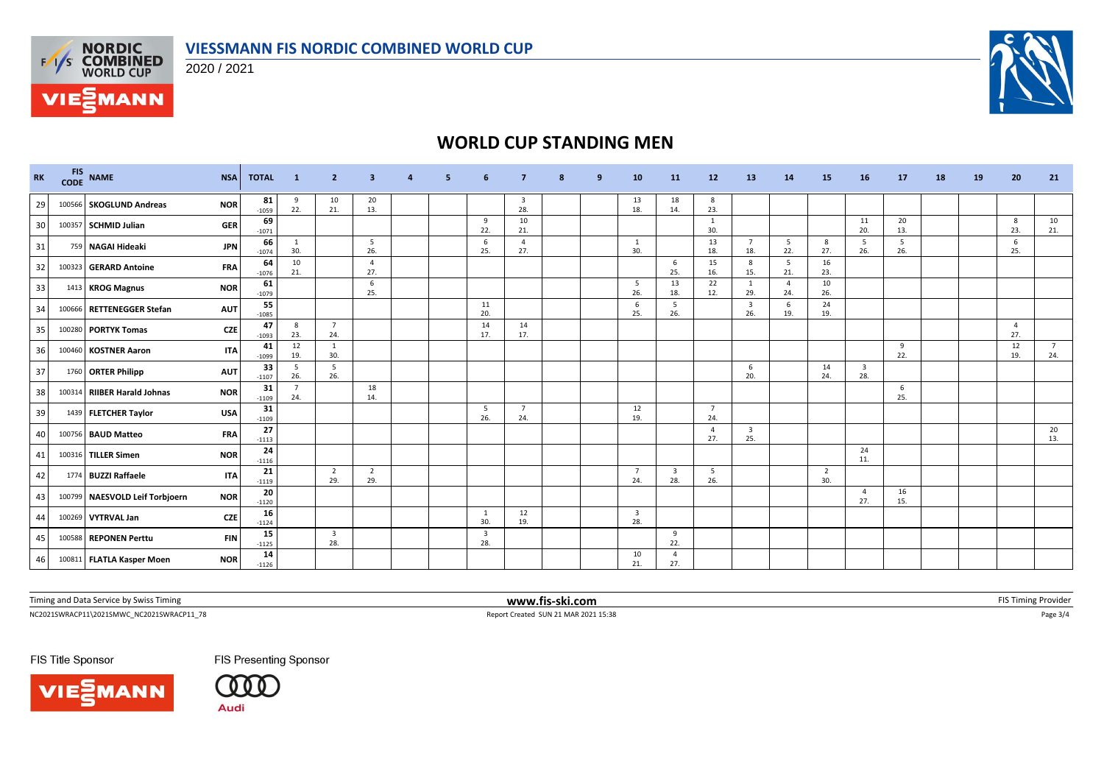

2020 / 2021



# **WORLD CUP STANDING MEN**

| <b>RK</b> | <b>FIS</b><br><b>CODE</b> | <b>NAME</b>                    | <b>NSA</b> | <b>TOTAL</b>  | $\blacksquare$        | $\overline{2}$        | 3                     |  | -6                             |                                | 9 | 10                             | 11                             | 12                    | 13                             | 14                    | 15                    | 16        | <b>17</b> | 18 | 19 | 20                    | 21                    |
|-----------|---------------------------|--------------------------------|------------|---------------|-----------------------|-----------------------|-----------------------|--|--------------------------------|--------------------------------|---|--------------------------------|--------------------------------|-----------------------|--------------------------------|-----------------------|-----------------------|-----------|-----------|----|----|-----------------------|-----------------------|
| 29        |                           | 100566 SKOGLUND Andreas        | <b>NOR</b> | 81<br>$-1059$ | 9<br>22.              | 10<br>21.             | 20<br>13.             |  |                                | $\overline{\mathbf{3}}$<br>28. |   | 13<br>18.                      | 18<br>14.                      | 8<br>23.              |                                |                       |                       |           |           |    |    |                       |                       |
| 30        |                           | 100357 SCHMID Julian           | <b>GER</b> | 69<br>$-1071$ |                       |                       |                       |  | 9<br>22.                       | 10<br>21.                      |   |                                |                                | 1<br>30.              |                                |                       |                       | 11<br>20. | 20<br>13. |    |    | 8<br>23.              | 10<br>21.             |
| 31        |                           | 759 NAGAI Hideaki              | <b>JPN</b> | 66<br>$-1074$ | $\mathbf{1}$<br>30.   |                       | 5<br>26.              |  | 6<br>25.                       | $\overline{a}$<br>27.          |   | 1<br>30.                       |                                | 13<br>18.             | $\overline{7}$<br>18.          | 5<br>22.              | 8<br>27.              | 5<br>26.  | 5<br>26.  |    |    | 6<br>25.              |                       |
| 32        |                           | 100323 GERARD Antoine          | <b>FRA</b> | 64<br>$-1076$ | 10<br>21.             |                       | $\overline{4}$<br>27. |  |                                |                                |   |                                | 6<br>25.                       | 15<br>16.             | 8<br>15.                       | 5<br>21.              | 16<br>23.             |           |           |    |    |                       |                       |
| 33        |                           | 1413 KROG Magnus               | <b>NOR</b> | 61<br>$-1079$ |                       |                       | 6<br>25.              |  |                                |                                |   | - 5<br>26.                     | 13<br>18.                      | 22<br>12.             | 1<br>29.                       | $\overline{4}$<br>24. | 10<br>26.             |           |           |    |    |                       |                       |
| 34        | 100666                    | <b>RETTENEGGER Stefan</b>      | <b>AUT</b> | 55<br>$-1085$ |                       |                       |                       |  | 11<br>20.                      |                                |   | 6<br>25.                       | 5 <sup>5</sup><br>26.          |                       | $\overline{\mathbf{3}}$<br>26. | 6<br>19.              | 24<br>19.             |           |           |    |    |                       |                       |
| 35        |                           | 100280 PORTYK Tomas            | <b>CZE</b> | 47<br>$-1093$ | 8<br>23.              | $\overline{7}$<br>24. |                       |  | 14<br>17.                      | 14<br>17.                      |   |                                |                                |                       |                                |                       |                       |           |           |    |    | $\overline{4}$<br>27. |                       |
| 36        |                           | 100460 KOSTNER Aaron           | <b>ITA</b> | 41<br>$-1099$ | 12<br>19.             | -1<br>30.             |                       |  |                                |                                |   |                                |                                |                       |                                |                       |                       |           | 9<br>22.  |    |    | 12<br>19.             | $\overline{7}$<br>24. |
| 37        |                           | 1760 ORTER Philipp             | <b>AUT</b> | 33<br>$-1107$ | 5<br>26.              | 5<br>26.              |                       |  |                                |                                |   |                                |                                |                       | 6<br>20.                       |                       | 14<br>24.             | 3<br>28.  |           |    |    |                       |                       |
| 38        |                           | 100314 RIIBER Harald Johnas    | <b>NOR</b> | 31<br>$-1109$ | $\overline{7}$<br>24. |                       | 18<br>14.             |  |                                |                                |   |                                |                                |                       |                                |                       |                       |           | 6<br>25.  |    |    |                       |                       |
| 39        |                           | 1439 FLETCHER Taylor           | <b>USA</b> | 31<br>$-1109$ |                       |                       |                       |  | - 5<br>26.                     | $\overline{7}$<br>24.          |   | 12<br>19.                      |                                | $\overline{7}$<br>24. |                                |                       |                       |           |           |    |    |                       |                       |
| 40        |                           | 100756 BAUD Matteo             | <b>FRA</b> | 27<br>$-1113$ |                       |                       |                       |  |                                |                                |   |                                |                                | $\overline{4}$<br>27. | $\overline{\mathbf{3}}$<br>25. |                       |                       |           |           |    |    |                       | 20<br>13.             |
| 41        |                           | 100316 TILLER Simen            | <b>NOR</b> | 24<br>$-1116$ |                       |                       |                       |  |                                |                                |   |                                |                                |                       |                                |                       |                       | 24<br>11. |           |    |    |                       |                       |
| 42        |                           | 1774 BUZZI Raffaele            | <b>ITA</b> | 21<br>$-1119$ |                       | $\overline{2}$<br>29. | $\overline{2}$<br>29. |  |                                |                                |   | $\overline{7}$<br>24.          | $\overline{\mathbf{3}}$<br>28. | 5<br>26.              |                                |                       | $\overline{2}$<br>30. |           |           |    |    |                       |                       |
| 43        |                           | 100799 NAESVOLD Leif Torbjoern | <b>NOR</b> | 20<br>$-1120$ |                       |                       |                       |  |                                |                                |   |                                |                                |                       |                                |                       |                       | -4<br>27. | 16<br>15. |    |    |                       |                       |
| 44        |                           | 100269 VYTRVAL Jan             | <b>CZE</b> | 16<br>$-1124$ |                       |                       |                       |  | 1<br>30.                       | 12<br>19.                      |   | $\overline{\mathbf{3}}$<br>28. |                                |                       |                                |                       |                       |           |           |    |    |                       |                       |
| 45        |                           | 100588 REPONEN Perttu          | <b>FIN</b> | 15<br>$-1125$ |                       | 3<br>28.              |                       |  | $\overline{\mathbf{3}}$<br>28. |                                |   |                                | 9<br>22.                       |                       |                                |                       |                       |           |           |    |    |                       |                       |
| 46        |                           | 100811 FLATLA Kasper Moen      | <b>NOR</b> | 14<br>$-1126$ |                       |                       |                       |  |                                |                                |   | 10<br>21.                      | $\overline{4}$<br>27.          |                       |                                |                       |                       |           |           |    |    |                       |                       |

Timing and Data Service by Swiss Timing **www.fis-ski.com www.fis-ski.com** FIS Timing Provider

 $\textsf{NC20215WRACP11}\backslash \textsf{20215MWC\_NC20215WRACP11\_78} \textcolor{red}{p_\textsf{BEC}} \textcolor{red}{3/4} \textcolor{red}{p_\textsf{BEC}} \textcolor{red}{p_\textsf{BEC}} \textcolor{red}{p_\textsf{BEC}} \textcolor{red}{p_\textsf{BEC}} \textcolor{red}{p_\textsf{BEC}} \textcolor{red}{p_\textsf{BEC}} \textcolor{red}{p_\textsf{BEC}} \textcolor{red}{p_\textsf{BEC}} \textcolor{red}{p_\textsf{BEC}} \textcolor{red}{p_\textsf{BEC}} \textcolor{red}{p_\text$ 

FIS Title Sponsor